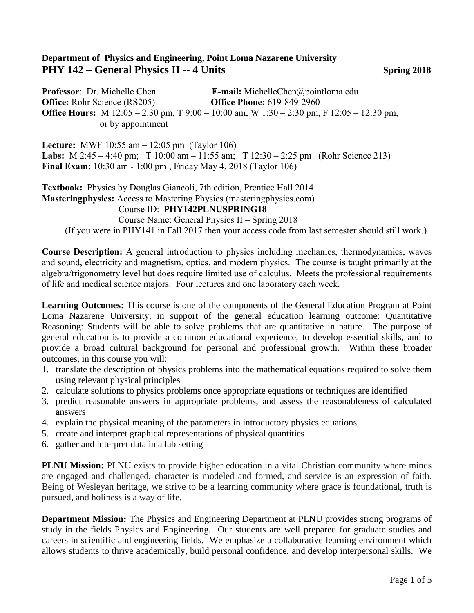## **Department of Physics and Engineering, Point Loma Nazarene University PHY 142 – General Physics II -- 4 Units Spring 2018**

**Professor**: Dr. Michelle Chen **E-mail:** MichelleChen@pointloma.edu **Office:** Rohr Science (RS205) **Office Phone:** 619-849-2960 **Office Hours:** M 12:05 – 2:30 pm, T 9:00 – 10:00 am, W 1:30 – 2:30 pm, F 12:05 – 12:30 pm, or by appointment

**Lecture:** MWF 10:55 am – 12:05 pm (Taylor 106) **Labs:** M 2:45 – 4:40 pm; T 10:00 am – 11:55 am; T 12:30 – 2:25 pm (Rohr Science 213) **Final Exam:** 10:30 am - 1:00 pm , Friday May 4, 2018 (Taylor 106)

**Textbook:** Physics by Douglas Giancoli, 7th edition, Prentice Hall 2014 **Masteringphysics:** Access to Mastering Physics (masteringphysics.com)

## Course ID: **PHY142PLNUSPRING18**

 Course Name: General Physics II – Spring 2018 (If you were in PHY141 in Fall 2017 then your access code from last semester should still work.)

**Course Description:** A general introduction to physics including mechanics, thermodynamics, waves and sound, electricity and magnetism, optics, and modern physics. The course is taught primarily at the algebra/trigonometry level but does require limited use of calculus. Meets the professional requirements of life and medical science majors. Four lectures and one laboratory each week.

**Learning Outcomes:** This course is one of the components of the General Education Program at Point Loma Nazarene University, in support of the general education learning outcome: Quantitative Reasoning: Students will be able to solve problems that are quantitative in nature. The purpose of general education is to provide a common educational experience, to develop essential skills, and to provide a broad cultural background for personal and professional growth. Within these broader outcomes, in this course you will:

- 1. translate the description of physics problems into the mathematical equations required to solve them using relevant physical principles
- 2. calculate solutions to physics problems once appropriate equations or techniques are identified
- 3. predict reasonable answers in appropriate problems, and assess the reasonableness of calculated answers
- 4. explain the physical meaning of the parameters in introductory physics equations
- 5. create and interpret graphical representations of physical quantities
- 6. gather and interpret data in a lab setting

**PLNU Mission:** PLNU exists to provide higher education in a vital Christian community where minds are engaged and challenged, character is modeled and formed, and service is an expression of faith. Being of Wesleyan heritage, we strive to be a learning community where grace is foundational, truth is pursued, and holiness is a way of life.

**Department Mission:** The Physics and Engineering Department at PLNU provides strong programs of study in the fields Physics and Engineering. Our students are well prepared for graduate studies and careers in scientific and engineering fields. We emphasize a collaborative learning environment which allows students to thrive academically, build personal confidence, and develop interpersonal skills. We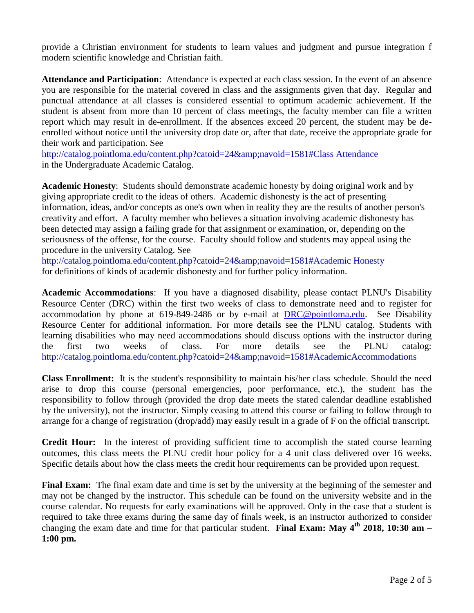provide a Christian environment for students to learn values and judgment and pursue integration f modern scientific knowledge and Christian faith.

**Attendance and Participation**: Attendance is expected at each class session. In the event of an absence you are responsible for the material covered in class and the assignments given that day. Regular and punctual attendance at all classes is considered essential to optimum academic achievement. If the student is absent from more than 10 percent of class meetings, the faculty member can file a written report which may result in de-enrollment. If the absences exceed 20 percent, the student may be deenrolled without notice until the university drop date or, after that date, receive the appropriate grade for their work and participation. See

http://catalog.pointloma.edu/content.php?catoid=24&navoid=1581#Class Attendance in the Undergraduate Academic Catalog.

**Academic Honesty**: Students should demonstrate academic honesty by doing original work and by giving appropriate credit to the ideas of others. Academic dishonesty is the act of presenting information, ideas, and/or concepts as one's own when in reality they are the results of another person's creativity and effort. A faculty member who believes a situation involving academic dishonesty has been detected may assign a failing grade for that assignment or examination, or, depending on the seriousness of the offense, for the course. Faculty should follow and students may appeal using the procedure in the university Catalog. See

http://catalog.pointloma.edu/content.php?catoid=24&navoid=1581#Academic Honesty for definitions of kinds of academic dishonesty and for further policy information.

**Academic Accommodations**: If you have a diagnosed disability, please contact PLNU's Disability Resource Center (DRC) within the first two weeks of class to demonstrate need and to register for accommodation by phone at 619-849-2486 or by e-mail at [DRC@pointloma.edu.](mailto:DRC@pointloma.edu) See Disability Resource Center for additional information. For more details see the PLNU catalog. Students with learning disabilities who may need accommodations should discuss options with the instructor during the first two weeks of class. For more details see the PLNU catalog: http://catalog.pointloma.edu/content.php?catoid=24&navoid=1581#AcademicAccommodations

**Class Enrollment:** It is the student's responsibility to maintain his/her class schedule. Should the need arise to drop this course (personal emergencies, poor performance, etc.), the student has the responsibility to follow through (provided the drop date meets the stated calendar deadline established by the university), not the instructor. Simply ceasing to attend this course or failing to follow through to arrange for a change of registration (drop/add) may easily result in a grade of F on the official transcript.

**Credit Hour:** In the interest of providing sufficient time to accomplish the stated course learning outcomes, this class meets the PLNU credit hour policy for a 4 unit class delivered over 16 weeks. Specific details about how the class meets the credit hour requirements can be provided upon request.

**Final Exam:** The final exam date and time is set by the university at the beginning of the semester and may not be changed by the instructor. This schedule can be found on the university website and in the course calendar. No requests for early examinations will be approved. Only in the case that a student is required to take three exams during the same day of finals week, is an instructor authorized to consider changing the exam date and time for that particular student. **Final Exam: May 4th 2018, 10:30 am – 1:00 pm.**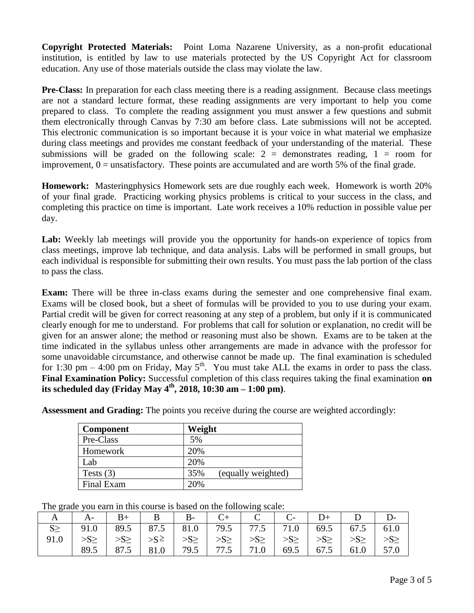**Copyright Protected Materials:** Point Loma Nazarene University, as a non-profit educational institution, is entitled by law to use materials protected by the US Copyright Act for classroom education. Any use of those materials outside the class may violate the law.

**Pre-Class:** In preparation for each class meeting there is a reading assignment. Because class meetings are not a standard lecture format, these reading assignments are very important to help you come prepared to class. To complete the reading assignment you must answer a few questions and submit them electronically through Canvas by 7:30 am before class. Late submissions will not be accepted. This electronic communication is so important because it is your voice in what material we emphasize during class meetings and provides me constant feedback of your understanding of the material. These submissions will be graded on the following scale:  $2 =$  demonstrates reading,  $1 =$  room for improvement,  $0 =$  unsatisfactory. These points are accumulated and are worth 5% of the final grade.

**Homework:** Masteringphysics Homework sets are due roughly each week. Homework is worth 20% of your final grade. Practicing working physics problems is critical to your success in the class, and completing this practice on time is important. Late work receives a 10% reduction in possible value per day.

Lab: Weekly lab meetings will provide you the opportunity for hands-on experience of topics from class meetings, improve lab technique, and data analysis. Labs will be performed in small groups, but each individual is responsible for submitting their own results. You must pass the lab portion of the class to pass the class.

**Exam:** There will be three in-class exams during the semester and one comprehensive final exam. Exams will be closed book, but a sheet of formulas will be provided to you to use during your exam. Partial credit will be given for correct reasoning at any step of a problem, but only if it is communicated clearly enough for me to understand. For problems that call for solution or explanation, no credit will be given for an answer alone; the method or reasoning must also be shown. Exams are to be taken at the time indicated in the syllabus unless other arrangements are made in advance with the professor for some unavoidable circumstance, and otherwise cannot be made up. The final examination is scheduled for 1:30 pm – 4:00 pm on Friday, May  $5<sup>th</sup>$ . You must take ALL the exams in order to pass the class. **Final Examination Policy:** Successful completion of this class requires taking the final examination **on its scheduled day (Friday May 4 th, 2018, 10:30 am – 1:00 pm)**.

**Assessment and Grading:** The points you receive during the course are weighted accordingly:

| <b>Component</b> | Weight                    |
|------------------|---------------------------|
| Pre-Class        | 5%                        |
| Homework         | 20%                       |
| Lab              | 20%                       |
| Tests $(3)$      | 35%<br>(equally weighted) |
| Final Exam       | 20%                       |

The grade you earn in this course is based on the following scale:

|      |      |                                                                     | $\parallel$ B- | $C+$ $C$ $\vert$                | $C-$ | $D+$ |                         |  |
|------|------|---------------------------------------------------------------------|----------------|---------------------------------|------|------|-------------------------|--|
|      |      | 91.0   89.5   87.5   81.0   79.5   77.5   71.0   69.5   67.5   61.0 |                |                                 |      |      |                         |  |
| 91.0 |      | $>>S \ge   >>S \ge   >>S \ge  $                                     |                | $>>S \ge   >>S \ge   >>S \ge  $ |      |      | $>>S \geq$   $>>S \geq$ |  |
|      | 89.5 | $87.5$   81.0   79.5   77.5   71.0   69.5   67.5   61.0   57.0      |                |                                 |      |      |                         |  |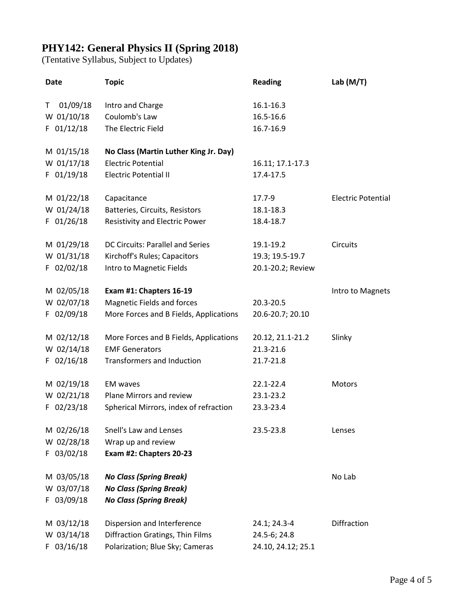## **PHY142: General Physics II (Spring 2018)**

(Tentative Syllabus, Subject to Updates)

| <b>Date</b>    | <b>Topic</b>                           | <b>Reading</b>     | Lab $(M/T)$               |
|----------------|----------------------------------------|--------------------|---------------------------|
| 01/09/18<br>т  | Intro and Charge                       | 16.1-16.3          |                           |
| W 01/10/18     | Coulomb's Law                          | 16.5-16.6          |                           |
| F 01/12/18     | The Electric Field                     | 16.7-16.9          |                           |
| M 01/15/18     | No Class (Martin Luther King Jr. Day)  |                    |                           |
| W 01/17/18     | <b>Electric Potential</b>              | 16.11; 17.1-17.3   |                           |
| F 01/19/18     | <b>Electric Potential II</b>           | 17.4-17.5          |                           |
| M 01/22/18     | Capacitance                            | 17.7-9             | <b>Electric Potential</b> |
| W 01/24/18     | Batteries, Circuits, Resistors         | 18.1-18.3          |                           |
| F 01/26/18     | Resistivity and Electric Power         | 18.4-18.7          |                           |
| M 01/29/18     | DC Circuits: Parallel and Series       | 19.1-19.2          | <b>Circuits</b>           |
| W 01/31/18     | Kirchoff's Rules; Capacitors           | 19.3; 19.5-19.7    |                           |
| $F$ 02/02/18   | Intro to Magnetic Fields               | 20.1-20.2; Review  |                           |
| M 02/05/18     | Exam #1: Chapters 16-19                |                    | Intro to Magnets          |
| W 02/07/18     | <b>Magnetic Fields and forces</b>      | 20.3-20.5          |                           |
| F 02/09/18     | More Forces and B Fields, Applications | 20.6-20.7; 20.10   |                           |
| M 02/12/18     | More Forces and B Fields, Applications | 20.12, 21.1-21.2   | Slinky                    |
| W 02/14/18     | <b>EMF Generators</b>                  | 21.3-21.6          |                           |
| $F$ 02/16/18   | <b>Transformers and Induction</b>      | 21.7-21.8          |                           |
| M 02/19/18     | <b>EM</b> waves                        | 22.1-22.4          | Motors                    |
| W 02/21/18     | Plane Mirrors and review               | 23.1-23.2          |                           |
| F 02/23/18     | Spherical Mirrors, index of refraction | 23.3-23.4          |                           |
| M 02/26/18     | Snell's Law and Lenses                 | 23.5-23.8          | Lenses                    |
| W 02/28/18     | Wrap up and review                     |                    |                           |
| F 03/02/18     | Exam #2: Chapters 20-23                |                    |                           |
| M 03/05/18     | <b>No Class (Spring Break)</b>         |                    | No Lab                    |
| W 03/07/18     | <b>No Class (Spring Break)</b>         |                    |                           |
| 03/09/18<br>F. | <b>No Class (Spring Break)</b>         |                    |                           |
| M 03/12/18     | Dispersion and Interference            | 24.1; 24.3-4       | Diffraction               |
| W 03/14/18     | Diffraction Gratings, Thin Films       | 24.5-6; 24.8       |                           |
| $F$ 03/16/18   | Polarization; Blue Sky; Cameras        | 24.10, 24.12; 25.1 |                           |